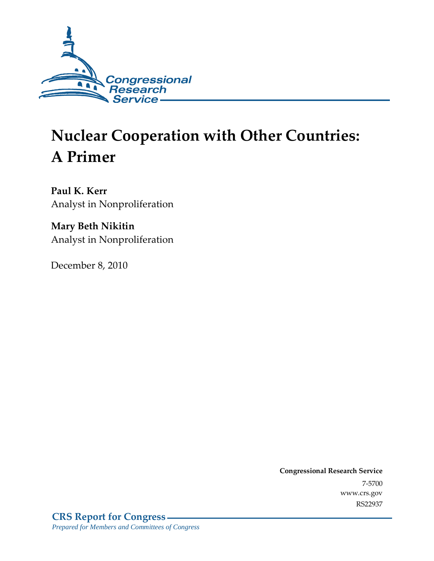

# **Nuclear Cooperation with Other Countries: A Primer**

**Paul K. Kerr**  Analyst in Nonproliferation

**Mary Beth Nikitin**  Analyst in Nonproliferation

December 8, 2010

**Congressional Research Service** 7-5700 www.crs.gov RS22937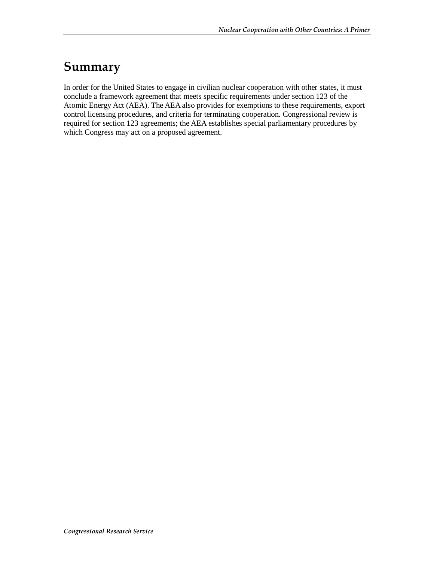### **Summary**

In order for the United States to engage in civilian nuclear cooperation with other states, it must conclude a framework agreement that meets specific requirements under section 123 of the Atomic Energy Act (AEA). The AEA also provides for exemptions to these requirements, export control licensing procedures, and criteria for terminating cooperation. Congressional review is required for section 123 agreements; the AEA establishes special parliamentary procedures by which Congress may act on a proposed agreement.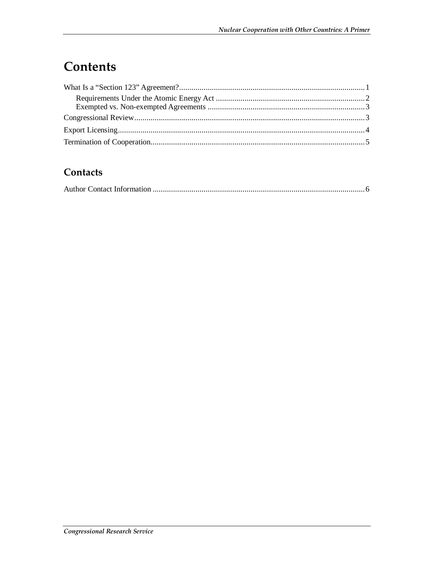# **Contents**

### Contacts

|--|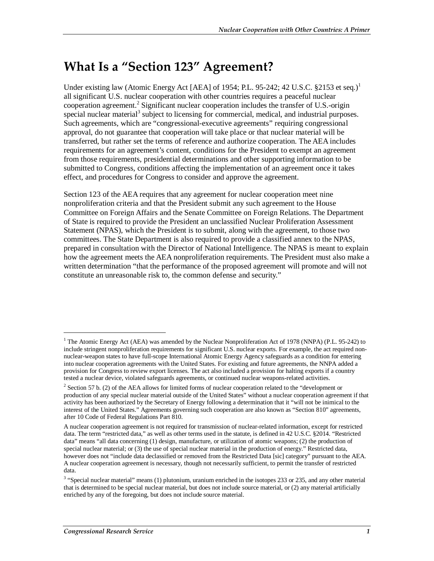# **What Is a "Section 123" Agreement?**

Under existing law (Atomic Energy Act [AEA] of 1954; P.L. 95-242; 42 U.S.C. §2153 et seq.)<sup>1</sup> all significant U.S. nuclear cooperation with other countries requires a peaceful nuclear cooperation agreement.<sup>2</sup> Significant nuclear cooperation includes the transfer of U.S.-origin special nuclear material<sup>3</sup> subject to licensing for commercial, medical, and industrial purposes. Such agreements, which are "congressional-executive agreements" requiring congressional approval, do not guarantee that cooperation will take place or that nuclear material will be transferred, but rather set the terms of reference and authorize cooperation. The AEA includes requirements for an agreement's content, conditions for the President to exempt an agreement from those requirements, presidential determinations and other supporting information to be submitted to Congress, conditions affecting the implementation of an agreement once it takes effect, and procedures for Congress to consider and approve the agreement.

Section 123 of the AEA requires that any agreement for nuclear cooperation meet nine nonproliferation criteria and that the President submit any such agreement to the House Committee on Foreign Affairs and the Senate Committee on Foreign Relations. The Department of State is required to provide the President an unclassified Nuclear Proliferation Assessment Statement (NPAS), which the President is to submit, along with the agreement, to those two committees. The State Department is also required to provide a classified annex to the NPAS, prepared in consultation with the Director of National Intelligence. The NPAS is meant to explain how the agreement meets the AEA nonproliferation requirements. The President must also make a written determination "that the performance of the proposed agreement will promote and will not constitute an unreasonable risk to, the common defense and security."

1

<sup>&</sup>lt;sup>1</sup> The Atomic Energy Act (AEA) was amended by the Nuclear Nonproliferation Act of 1978 (NNPA) (P.L. 95-242) to include stringent nonproliferation requirements for significant U.S. nuclear exports. For example, the act required nonnuclear-weapon states to have full-scope International Atomic Energy Agency safeguards as a condition for entering into nuclear cooperation agreements with the United States. For existing and future agreements, the NNPA added a provision for Congress to review export licenses. The act also included a provision for halting exports if a country tested a nuclear device, violated safeguards agreements, or continued nuclear weapons-related activities.

<sup>&</sup>lt;sup>2</sup> Section 57 b. (2) of the AEA allows for limited forms of nuclear cooperation related to the "development or production of any special nuclear material outside of the United States" without a nuclear cooperation agreement if that activity has been authorized by the Secretary of Energy following a determination that it "will not be inimical to the interest of the United States." Agreements governing such cooperation are also known as "Section 810" agreements, after 10 Code of Federal Regulations Part 810.

A nuclear cooperation agreement is not required for transmission of nuclear-related information, except for restricted data. The term "restricted data," as well as other terms used in the statute, is defined in 42 U.S.C. §2014. "Restricted data" means "all data concerning (1) design, manufacture, or utilization of atomic weapons; (2) the production of special nuclear material; or (3) the use of special nuclear material in the production of energy." Restricted data, however does not "include data declassified or removed from the Restricted Data [sic] category" pursuant to the AEA. A nuclear cooperation agreement is necessary, though not necessarily sufficient, to permit the transfer of restricted data.

 $3$  "Special nuclear material" means (1) plutonium, uranium enriched in the isotopes 233 or 235, and any other material that is determined to be special nuclear material, but does not include source material, or (2) any material artificially enriched by any of the foregoing, but does not include source material.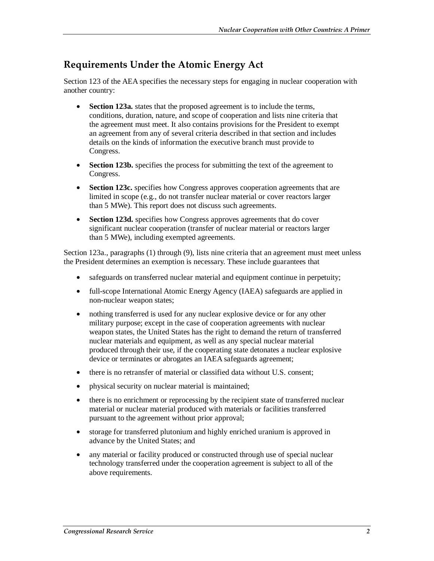### **Requirements Under the Atomic Energy Act**

Section 123 of the AEA specifies the necessary steps for engaging in nuclear cooperation with another country:

- **Section 123a.** states that the proposed agreement is to include the terms, conditions, duration, nature, and scope of cooperation and lists nine criteria that the agreement must meet. It also contains provisions for the President to exempt an agreement from any of several criteria described in that section and includes details on the kinds of information the executive branch must provide to Congress.
- **Section 123b.** specifies the process for submitting the text of the agreement to Congress.
- **Section 123c.** specifies how Congress approves cooperation agreements that are limited in scope (e.g., do not transfer nuclear material or cover reactors larger than 5 MWe). This report does not discuss such agreements.
- **Section 123d.** specifies how Congress approves agreements that do cover significant nuclear cooperation (transfer of nuclear material or reactors larger than 5 MWe), including exempted agreements.

Section 123a., paragraphs (1) through (9), lists nine criteria that an agreement must meet unless the President determines an exemption is necessary. These include guarantees that

- safeguards on transferred nuclear material and equipment continue in perpetuity;
- full-scope International Atomic Energy Agency (IAEA) safeguards are applied in non-nuclear weapon states;
- nothing transferred is used for any nuclear explosive device or for any other military purpose; except in the case of cooperation agreements with nuclear weapon states, the United States has the right to demand the return of transferred nuclear materials and equipment, as well as any special nuclear material produced through their use, if the cooperating state detonates a nuclear explosive device or terminates or abrogates an IAEA safeguards agreement;
- there is no retransfer of material or classified data without U.S. consent:
- physical security on nuclear material is maintained;
- there is no enrichment or reprocessing by the recipient state of transferred nuclear material or nuclear material produced with materials or facilities transferred pursuant to the agreement without prior approval;
- storage for transferred plutonium and highly enriched uranium is approved in advance by the United States; and
- any material or facility produced or constructed through use of special nuclear technology transferred under the cooperation agreement is subject to all of the above requirements.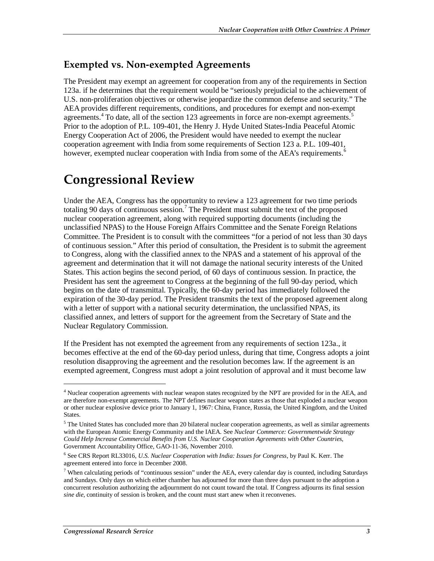#### **Exempted vs. Non-exempted Agreements**

The President may exempt an agreement for cooperation from any of the requirements in Section 123a. if he determines that the requirement would be "seriously prejudicial to the achievement of U.S. non-proliferation objectives or otherwise jeopardize the common defense and security." The AEA provides different requirements, conditions, and procedures for exempt and non-exempt agreements.<sup>4</sup> To date, all of the section 123 agreements in force are non-exempt agreements.<sup>5</sup> Prior to the adoption of P.L. 109-401, the Henry J. Hyde United States-India Peaceful Atomic Energy Cooperation Act of 2006, the President would have needed to exempt the nuclear cooperation agreement with India from some requirements of Section 123 a. P.L. 109-401, however, exempted nuclear cooperation with India from some of the AEA's requirements.<sup>6</sup>

### **Congressional Review**

Under the AEA, Congress has the opportunity to review a 123 agreement for two time periods totaling 90 days of continuous session.<sup>7</sup> The President must submit the text of the proposed nuclear cooperation agreement, along with required supporting documents (including the unclassified NPAS) to the House Foreign Affairs Committee and the Senate Foreign Relations Committee. The President is to consult with the committees "for a period of not less than 30 days of continuous session." After this period of consultation, the President is to submit the agreement to Congress, along with the classified annex to the NPAS and a statement of his approval of the agreement and determination that it will not damage the national security interests of the United States. This action begins the second period, of 60 days of continuous session. In practice, the President has sent the agreement to Congress at the beginning of the full 90-day period, which begins on the date of transmittal. Typically, the 60-day period has immediately followed the expiration of the 30-day period. The President transmits the text of the proposed agreement along with a letter of support with a national security determination, the unclassified NPAS, its classified annex, and letters of support for the agreement from the Secretary of State and the Nuclear Regulatory Commission.

If the President has not exempted the agreement from any requirements of section 123a., it becomes effective at the end of the 60-day period unless, during that time, Congress adopts a joint resolution disapproving the agreement and the resolution becomes law. If the agreement is an exempted agreement, Congress must adopt a joint resolution of approval and it must become law

<u>.</u>

<sup>&</sup>lt;sup>4</sup> Nuclear cooperation agreements with nuclear weapon states recognized by the NPT are provided for in the AEA, and are therefore non-exempt agreements. The NPT defines nuclear weapon states as those that exploded a nuclear weapon or other nuclear explosive device prior to January 1, 1967: China, France, Russia, the United Kingdom, and the United States.

<sup>&</sup>lt;sup>5</sup> The United States has concluded more than 20 bilateral nuclear cooperation agreements, as well as similar agreements with the European Atomic Energy Community and the IAEA. See *Nuclear Commerce: Governmentwide Strategy Could Help Increase Commercial Benefits from U.S. Nuclear Cooperation Agreements with Other Countries*, Government Accountability Office, GAO-11-36, November 2010.

<sup>6</sup> See CRS Report RL33016, *U.S. Nuclear Cooperation with India: Issues for Congress*, by Paul K. Kerr. The agreement entered into force in December 2008.

<sup>&</sup>lt;sup>7</sup> When calculating periods of "continuous session" under the AEA, every calendar day is counted, including Saturdays and Sundays. Only days on which either chamber has adjourned for more than three days pursuant to the adoption a concurrent resolution authorizing the adjournment do not count toward the total. If Congress adjourns its final session *sine die*, continuity of session is broken, and the count must start anew when it reconvenes.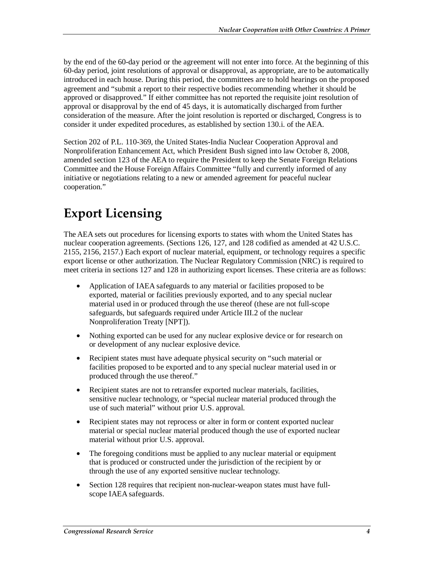by the end of the 60-day period or the agreement will not enter into force. At the beginning of this 60-day period, joint resolutions of approval or disapproval, as appropriate, are to be automatically introduced in each house. During this period, the committees are to hold hearings on the proposed agreement and "submit a report to their respective bodies recommending whether it should be approved or disapproved." If either committee has not reported the requisite joint resolution of approval or disapproval by the end of 45 days, it is automatically discharged from further consideration of the measure. After the joint resolution is reported or discharged, Congress is to consider it under expedited procedures, as established by section 130.i. of the AEA.

Section 202 of P.L. 110-369, the United States-India Nuclear Cooperation Approval and Nonproliferation Enhancement Act, which President Bush signed into law October 8, 2008, amended section 123 of the AEA to require the President to keep the Senate Foreign Relations Committee and the House Foreign Affairs Committee "fully and currently informed of any initiative or negotiations relating to a new or amended agreement for peaceful nuclear cooperation."

# **Export Licensing**

The AEA sets out procedures for licensing exports to states with whom the United States has nuclear cooperation agreements. (Sections 126, 127, and 128 codified as amended at 42 U.S.C. 2155, 2156, 2157.) Each export of nuclear material, equipment, or technology requires a specific export license or other authorization. The Nuclear Regulatory Commission (NRC) is required to meet criteria in sections 127 and 128 in authorizing export licenses. These criteria are as follows:

- Application of IAEA safeguards to any material or facilities proposed to be exported, material or facilities previously exported, and to any special nuclear material used in or produced through the use thereof (these are not full-scope safeguards, but safeguards required under Article III.2 of the nuclear Nonproliferation Treaty [NPT]).
- Nothing exported can be used for any nuclear explosive device or for research on or development of any nuclear explosive device.
- Recipient states must have adequate physical security on "such material or facilities proposed to be exported and to any special nuclear material used in or produced through the use thereof."
- Recipient states are not to retransfer exported nuclear materials, facilities, sensitive nuclear technology, or "special nuclear material produced through the use of such material" without prior U.S. approval.
- Recipient states may not reprocess or alter in form or content exported nuclear material or special nuclear material produced though the use of exported nuclear material without prior U.S. approval.
- The foregoing conditions must be applied to any nuclear material or equipment that is produced or constructed under the jurisdiction of the recipient by or through the use of any exported sensitive nuclear technology.
- Section 128 requires that recipient non-nuclear-weapon states must have fullscope IAEA safeguards.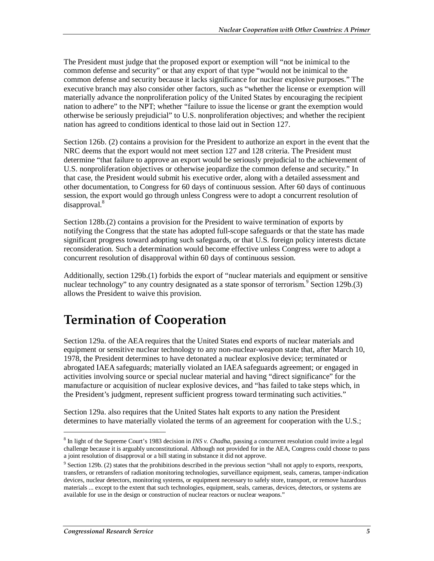The President must judge that the proposed export or exemption will "not be inimical to the common defense and security" or that any export of that type "would not be inimical to the common defense and security because it lacks significance for nuclear explosive purposes." The executive branch may also consider other factors, such as "whether the license or exemption will materially advance the nonproliferation policy of the United States by encouraging the recipient nation to adhere" to the NPT; whether "failure to issue the license or grant the exemption would otherwise be seriously prejudicial" to U.S. nonproliferation objectives; and whether the recipient nation has agreed to conditions identical to those laid out in Section 127.

Section 126b. (2) contains a provision for the President to authorize an export in the event that the NRC deems that the export would not meet section 127 and 128 criteria. The President must determine "that failure to approve an export would be seriously prejudicial to the achievement of U.S. nonproliferation objectives or otherwise jeopardize the common defense and security." In that case, the President would submit his executive order, along with a detailed assessment and other documentation, to Congress for 60 days of continuous session. After 60 days of continuous session, the export would go through unless Congress were to adopt a concurrent resolution of disapproval.<sup>8</sup>

Section 128b.(2) contains a provision for the President to waive termination of exports by notifying the Congress that the state has adopted full-scope safeguards or that the state has made significant progress toward adopting such safeguards, or that U.S. foreign policy interests dictate reconsideration. Such a determination would become effective unless Congress were to adopt a concurrent resolution of disapproval within 60 days of continuous session.

Additionally, section 129b.(1) forbids the export of "nuclear materials and equipment or sensitive nuclear technology" to any country designated as a state sponsor of terrorism.<sup>9</sup> Section 129b.(3) allows the President to waive this provision.

### **Termination of Cooperation**

Section 129a. of the AEA requires that the United States end exports of nuclear materials and equipment or sensitive nuclear technology to any non-nuclear-weapon state that, after March 10, 1978, the President determines to have detonated a nuclear explosive device; terminated or abrogated IAEA safeguards; materially violated an IAEA safeguards agreement; or engaged in activities involving source or special nuclear material and having "direct significance" for the manufacture or acquisition of nuclear explosive devices, and "has failed to take steps which, in the President's judgment, represent sufficient progress toward terminating such activities."

Section 129a. also requires that the United States halt exports to any nation the President determines to have materially violated the terms of an agreement for cooperation with the U.S.;

<u>.</u>

<sup>8</sup> In light of the Supreme Court's 1983 decision in *INS v. Chadha*, passing a concurrent resolution could invite a legal challenge because it is arguably unconstitutional. Although not provided for in the AEA, Congress could choose to pass a joint resolution of disapproval or a bill stating in substance it did not approve.

 $9$  Section 129b. (2) states that the prohibitions described in the previous section "shall not apply to exports, reexports, transfers, or retransfers of radiation monitoring technologies, surveillance equipment, seals, cameras, tamper-indication devices, nuclear detectors, monitoring systems, or equipment necessary to safely store, transport, or remove hazardous materials ... except to the extent that such technologies, equipment, seals, cameras, devices, detectors, or systems are available for use in the design or construction of nuclear reactors or nuclear weapons."